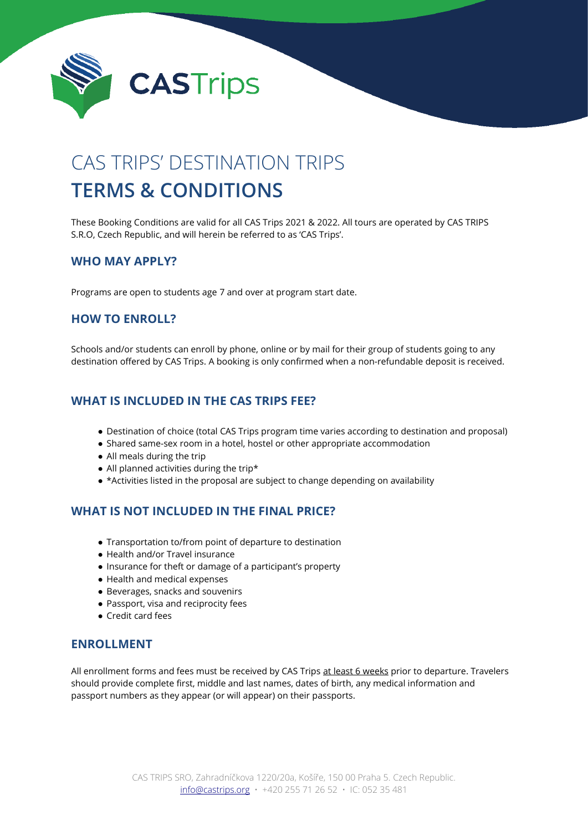

# CAS TRIPS' DESTINATION TRIPS **TERMS & CONDITIONS**

These Booking Conditions are valid for all CAS Trips 2021 & 2022. All tours are operated by CAS TRIPS S.R.O, Czech Republic, and will herein be referred to as 'CAS Trips'.

### **WHO MAY APPLY?**

Programs are open to students age 7 and over at program start date.

## **HOW TO ENROLL?**

Schools and/or students can enroll by phone, online or by mail for their group of students going to any destination offered by CAS Trips. A booking is only confirmed when a non-refundable deposit is received.

## **WHAT IS INCLUDED IN THE CAS TRIPS FEE?**

- Destination of choice (total CAS Trips program time varies according to destination and proposal)
- Shared same-sex room in a hotel, hostel or other appropriate accommodation
- All meals during the trip
- All planned activities during the trip\*
- \*Activities listed in the proposal are subject to change depending on availability

## **WHAT IS NOT INCLUDED IN THE FINAL PRICE?**

- Transportation to/from point of departure to destination
- Health and/or Travel insurance
- Insurance for theft or damage of a participant's property
- Health and medical expenses
- Beverages, snacks and souvenirs
- Passport, visa and reciprocity fees
- Credit card fees

#### **ENROLLMENT**

All enrollment forms and fees must be received by CAS Trips at least 6 weeks prior to departure. Travelers should provide complete first, middle and last names, dates of birth, any medical information and passport numbers as they appear (or will appear) on their passports.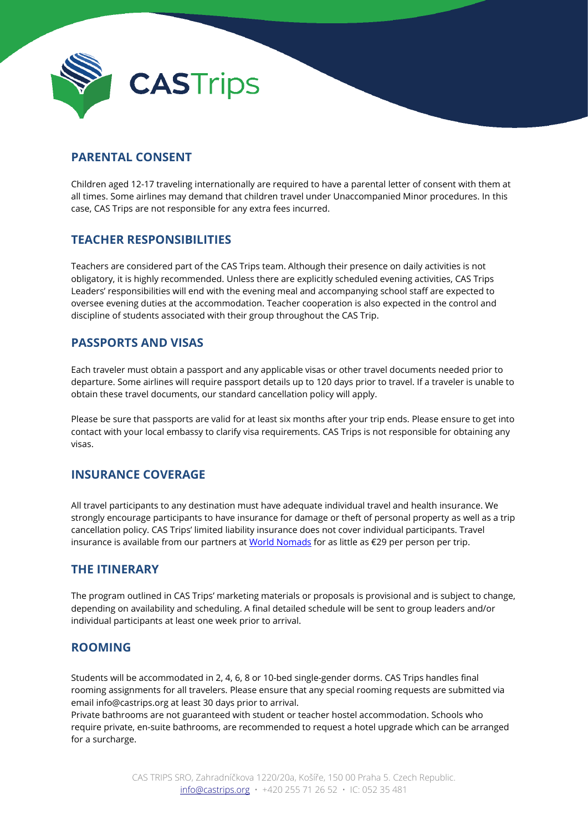

## **PARENTAL CONSENT**

Children aged 12-17 traveling internationally are required to have a parental letter of consent with them at all times. Some airlines may demand that children travel under Unaccompanied Minor procedures. In this case, CAS Trips are not responsible for any extra fees incurred.

### **TEACHER RESPONSIBILITIES**

Teachers are considered part of the CAS Trips team. Although their presence on daily activities is not obligatory, it is highly recommended. Unless there are explicitly scheduled evening activities, CAS Trips Leaders' responsibilities will end with the evening meal and accompanying school staff are expected to oversee evening duties at the accommodation. Teacher cooperation is also expected in the control and discipline of students associated with their group throughout the CAS Trip.

### **PASSPORTS AND VISAS**

Each traveler must obtain a passport and any applicable visas or other travel documents needed prior to departure. Some airlines will require passport details up to 120 days prior to travel. If a traveler is unable to obtain these travel documents, our standard cancellation policy will apply.

Please be sure that passports are valid for at least six months after your trip ends. Please ensure to get into contact with your local embassy to clarify visa requirements. CAS Trips is not responsible for obtaining any visas.

### **INSURANCE COVERAGE**

All travel participants to any destination must have adequate individual travel and health insurance. We strongly encourage participants to have insurance for damage or theft of personal property as well as a trip cancellation policy. CAS Trips' limited liability insurance does not cover individual participants. Travel insurance is available from our partners a[t World Nomads](https://www.worldnomads.com/) for as little as €29 per person per trip.

#### **THE ITINERARY**

The program outlined in CAS Trips' marketing materials or proposals is provisional and is subject to change, depending on availability and scheduling. A final detailed schedule will be sent to group leaders and/or individual participants at least one week prior to arrival.

### **ROOMING**

Students will be accommodated in 2, 4, 6, 8 or 10-bed single-gender dorms. CAS Trips handles final rooming assignments for all travelers. Please ensure that any special rooming requests are submitted via email info@castrips.org at least 30 days prior to arrival.

Private bathrooms are not guaranteed with student or teacher hostel accommodation. Schools who require private, en-suite bathrooms, are recommended to request a hotel upgrade which can be arranged for a surcharge.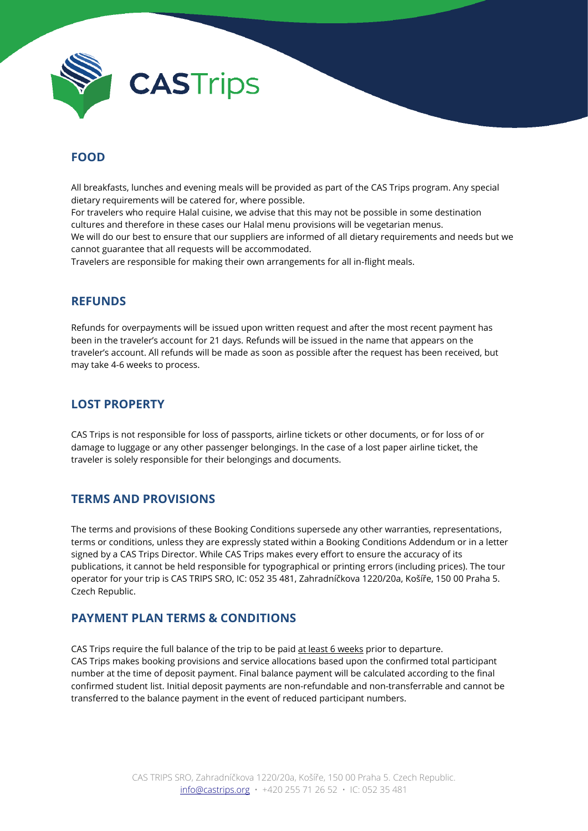

## **FOOD**

All breakfasts, lunches and evening meals will be provided as part of the CAS Trips program. Any special dietary requirements will be catered for, where possible.

For travelers who require Halal cuisine, we advise that this may not be possible in some destination cultures and therefore in these cases our Halal menu provisions will be vegetarian menus. We will do our best to ensure that our suppliers are informed of all dietary requirements and needs but we cannot guarantee that all requests will be accommodated.

Travelers are responsible for making their own arrangements for all in-flight meals.

#### **REFUNDS**

Refunds for overpayments will be issued upon written request and after the most recent payment has been in the traveler's account for 21 days. Refunds will be issued in the name that appears on the traveler's account. All refunds will be made as soon as possible after the request has been received, but may take 4-6 weeks to process.

## **LOST PROPERTY**

CAS Trips is not responsible for loss of passports, airline tickets or other documents, or for loss of or damage to luggage or any other passenger belongings. In the case of a lost paper airline ticket, the traveler is solely responsible for their belongings and documents.

### **TERMS AND PROVISIONS**

The terms and provisions of these Booking Conditions supersede any other warranties, representations, terms or conditions, unless they are expressly stated within a Booking Conditions Addendum or in a letter signed by a CAS Trips Director. While CAS Trips makes every effort to ensure the accuracy of its publications, it cannot be held responsible for typographical or printing errors (including prices). The tour operator for your trip is CAS TRIPS SRO, IC: 052 35 481, Zahradníčkova 1220/20a, Košíře, 150 00 Praha 5. Czech Republic.

### **PAYMENT PLAN TERMS & CONDITIONS**

CAS Trips require the full balance of the trip to be paid at least 6 weeks prior to departure. CAS Trips makes booking provisions and service allocations based upon the confirmed total participant number at the time of deposit payment. Final balance payment will be calculated according to the final confirmed student list. Initial deposit payments are non-refundable and non-transferrable and cannot be transferred to the balance payment in the event of reduced participant numbers.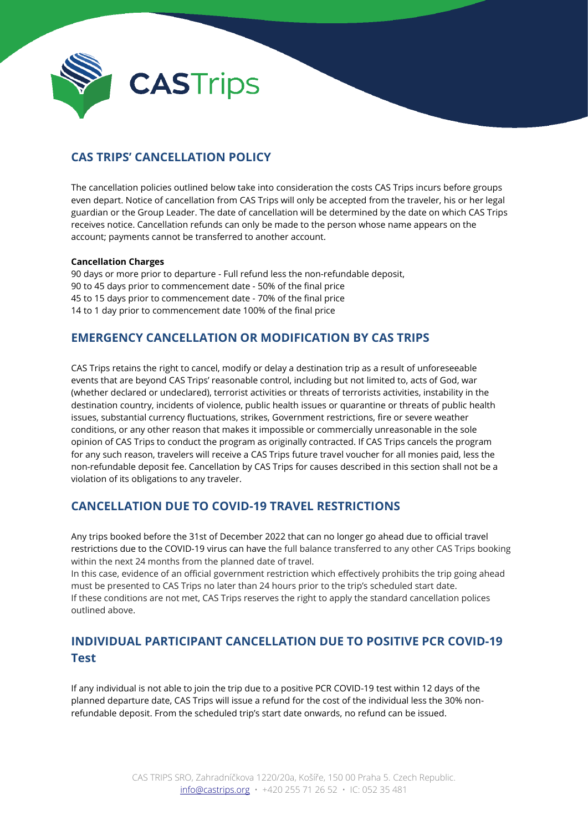

## **CAS TRIPS' CANCELLATION POLICY**

The cancellation policies outlined below take into consideration the costs CAS Trips incurs before groups even depart. Notice of cancellation from CAS Trips will only be accepted from the traveler, his or her legal guardian or the Group Leader. The date of cancellation will be determined by the date on which CAS Trips receives notice. Cancellation refunds can only be made to the person whose name appears on the account; payments cannot be transferred to another account.

#### **Cancellation Charges**

90 days or more prior to departure - Full refund less the non-refundable deposit, 90 to 45 days prior to commencement date - 50% of the final price 45 to 15 days prior to commencement date - 70% of the final price 14 to 1 day prior to commencement date 100% of the final price

## **EMERGENCY CANCELLATION OR MODIFICATION BY CAS TRIPS**

CAS Trips retains the right to cancel, modify or delay a destination trip as a result of unforeseeable events that are beyond CAS Trips' reasonable control, including but not limited to, acts of God, war (whether declared or undeclared), terrorist activities or threats of terrorists activities, instability in the destination country, incidents of violence, public health issues or quarantine or threats of public health issues, substantial currency fluctuations, strikes, Government restrictions, fire or severe weather conditions, or any other reason that makes it impossible or commercially unreasonable in the sole opinion of CAS Trips to conduct the program as originally contracted. If CAS Trips cancels the program for any such reason, travelers will receive a CAS Trips future travel voucher for all monies paid, less the non-refundable deposit fee. Cancellation by CAS Trips for causes described in this section shall not be a violation of its obligations to any traveler.

## **CANCELLATION DUE TO COVID-19 TRAVEL RESTRICTIONS**

Any trips booked before the 31st of December 2022 that can no longer go ahead due to official travel restrictions due to the COVID-19 virus can have the full balance transferred to any other CAS Trips booking within the next 24 months from the planned date of travel.

In this case, evidence of an official government restriction which effectively prohibits the trip going ahead must be presented to CAS Trips no later than 24 hours prior to the trip's scheduled start date. If these conditions are not met, CAS Trips reserves the right to apply the standard cancellation polices outlined above.

## **INDIVIDUAL PARTICIPANT CANCELLATION DUE TO POSITIVE PCR COVID-19 Test**

If any individual is not able to join the trip due to a positive PCR COVID-19 test within 12 days of the planned departure date, CAS Trips will issue a refund for the cost of the individual less the 30% nonrefundable deposit. From the scheduled trip's start date onwards, no refund can be issued.